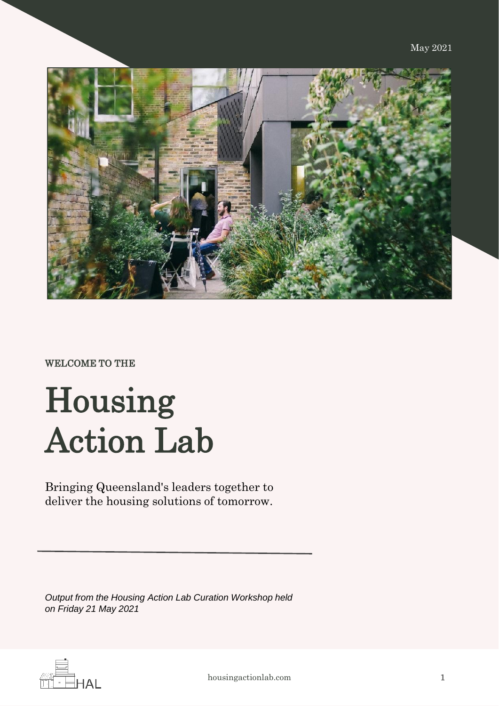

#### WELCOME TO THE

# Housing Action Lab

Bringing Queensland's leaders together to deliver the housing solutions of tomorrow.

*Output from the Housing Action Lab Curation Workshop held on Friday 21 May 2021*

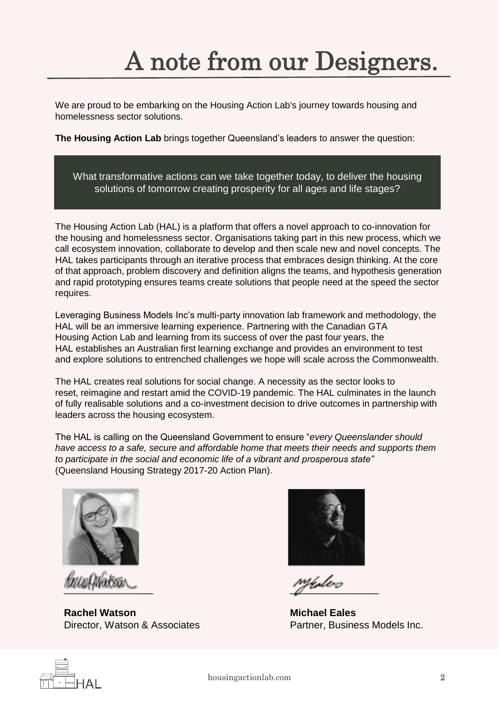## A note from our Designers.

We are proud to be embarking on the Housing Action Lab's journey towards housing and homelessness sector solutions.

**The Housing Action Lab** brings together Queensland's leaders to answer the question:

What transformative actions can we take together today, to deliver the housing solutions of tomorrow creating prosperity for all ages and life stages?

The Housing Action Lab (HAL) is a platform that offers a novel approach to co-innovation for the housing and homelessness sector. Organisations taking part in this new process, which we call ecosystem innovation, collaborate to develop and then scale new and novel concepts. The HAL takes participants through an iterative process that embraces design thinking. At the core of that approach, problem discovery and definition aligns the teams, and hypothesis generation and rapid prototyping ensures teams create solutions that people need at the speed the sector requires.

Leveraging Business Models Inc's multi-party innovation lab framework and methodology, the HAL will be an immersive learning experience. Partnering with the Canadian GTA Housing Action Lab and learning from its success of over the past four years, the HAL establishes an Australian first learning exchange and provides an environment to test and explore solutions to entrenched challenges we hope will scale across the Commonwealth.

The HAL creates real solutions for social change. A necessity as the sector looks to reset, reimagine and restart amid the COVID-19 pandemic. The HAL culminates in the launch of fully realisable solutions and a co-investment decision to drive outcomes in partnership with leaders across the housing ecosystem.

The HAL is calling on the Queensland Government to ensure "*every Queenslander should have access to a safe, secure and affordable home that meets their needs and supports them to participate in the social and economic life of a vibrant and prosperous state"* (Queensland Housing Strategy 2017-20 Action Plan).



*w.c.Maksa* 

**Rachel Watson** Director, Watson & Associates



 $\mathcal{I}$ 

**Michael Eales** Partner, Business Models Inc.

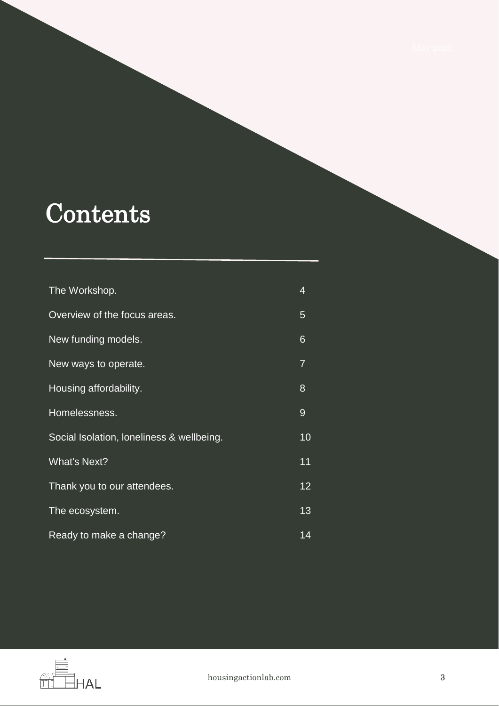### **Contents**

| The Workshop.                             | 4  |
|-------------------------------------------|----|
| Overview of the focus areas.              | 5  |
| New funding models.                       | 6  |
| New ways to operate.                      | 7  |
| Housing affordability.                    | 8  |
| Homelessness.                             | 9  |
| Social Isolation, loneliness & wellbeing. | 10 |
| <b>What's Next?</b>                       | 11 |
| Thank you to our attendees.               | 12 |
| The ecosystem.                            | 13 |
| Ready to make a change?                   | 14 |

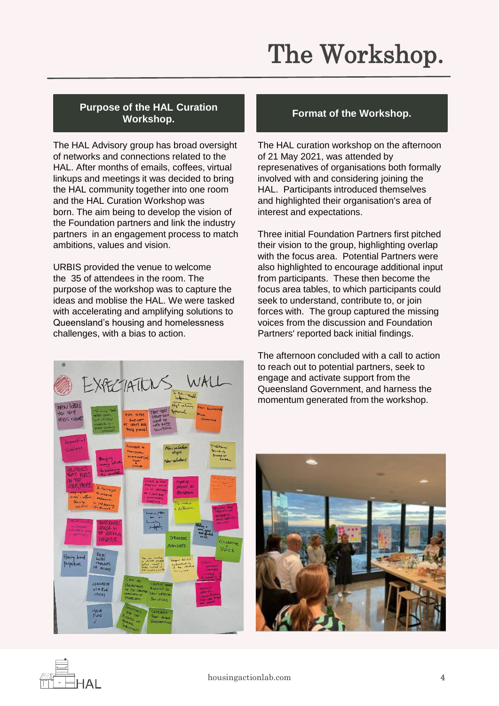## The Workshop.

#### **Purpose of the HAL Curation Workshop. Format of the Workshop.**

The HAL Advisory group has broad oversight of networks and connections related to the HAL. After months of emails, coffees, virtual linkups and meetings it was decided to bring the HAL community together into one room and the HAL Curation Workshop was born. The aim being to develop the vision of the Foundation partners and link the industry partners in an engagement process to match ambitions, values and vision.

URBIS provided the venue to welcome the 35 of attendees in the room. The purpose of the workshop was to capture the ideas and moblise the HAL. We were tasked with accelerating and amplifying solutions to Queensland's housing and homelessness challenges, with a bias to action.

The HAL curation workshop on the afternoon of 21 May 2021, was attended by represenatives of organisations both formally involved with and considering joining the HAL. Participants introduced themselves and highlighted their organisation's area of interest and expectations.

Three initial Foundation Partners first pitched their vision to the group, highlighting overlap with the focus area. Potential Partners were also highlighted to encourage additional input from participants. These then become the focus area tables, to which participants could seek to understand, contribute to, or join forces with. The group captured the missing voices from the discussion and Foundation Partners' reported back initial findings.

The afternoon concluded with a call to action to reach out to potential partners, seek to engage and activate support from the Queensland Government, and harness the momentum generated from the workshop.





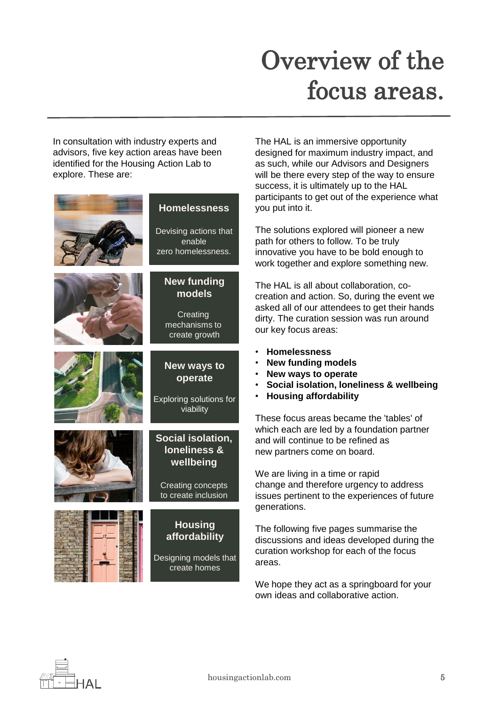### Overview of the focus areas.

In consultation with industry experts and advisors, five key action areas have been identified for the Housing Action Lab to explore. These are:



The HAL is an immersive opportunity designed for maximum industry impact, and as such, while our Advisors and Designers will be there every step of the way to ensure success, it is ultimately up to the HAL participants to get out of the experience what you put into it.

The solutions explored will pioneer a new path for others to follow. To be truly innovative you have to be bold enough to work together and explore something new.

The HAL is all about collaboration, cocreation and action. So, during the event we asked all of our attendees to get their hands dirty. The curation session was run around our key focus areas:

- **Homelessness**
- **New funding models**
- **New ways to operate**
- **Social isolation, loneliness & wellbeing**
- **Housing affordability**

These focus areas became the 'tables' of which each are led by a foundation partner and will continue to be refined as new partners come on board.

We are living in a time or rapid change and therefore urgency to address issues pertinent to the experiences of future generations.

The following five pages summarise the discussions and ideas developed during the curation workshop for each of the focus areas.

We hope they act as a springboard for your own ideas and collaborative action.

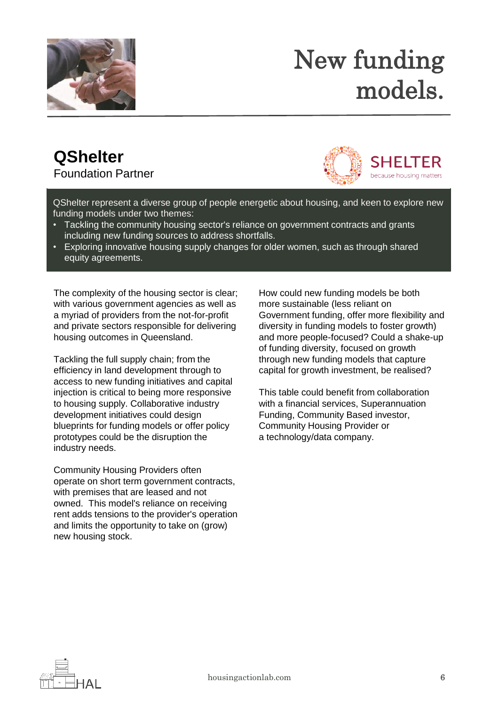

### New funding models.

#### **QShelter** Foundation Partner



QShelter represent a diverse group of people energetic about housing, and keen to explore new funding models under two themes:

- Tackling the community housing sector's reliance on government contracts and grants including new funding sources to address shortfalls.
- Exploring innovative housing supply changes for older women, such as through shared equity agreements.

The complexity of the housing sector is clear; with various government agencies as well as a myriad of providers from the not-for-profit and private sectors responsible for delivering housing outcomes in Queensland.

Tackling the full supply chain; from the efficiency in land development through to access to new funding initiatives and capital injection is critical to being more responsive to housing supply. Collaborative industry development initiatives could design blueprints for funding models or offer policy prototypes could be the disruption the industry needs.

Community Housing Providers often operate on short term government contracts, with premises that are leased and not owned. This model's reliance on receiving rent adds tensions to the provider's operation and limits the opportunity to take on (grow) new housing stock.

How could new funding models be both more sustainable (less reliant on Government funding, offer more flexibility and diversity in funding models to foster growth) and more people-focused? Could a shake-up of funding diversity, focused on growth through new funding models that capture capital for growth investment, be realised?

This table could benefit from collaboration with a financial services, Superannuation Funding, Community Based investor, Community Housing Provider or a technology/data company.

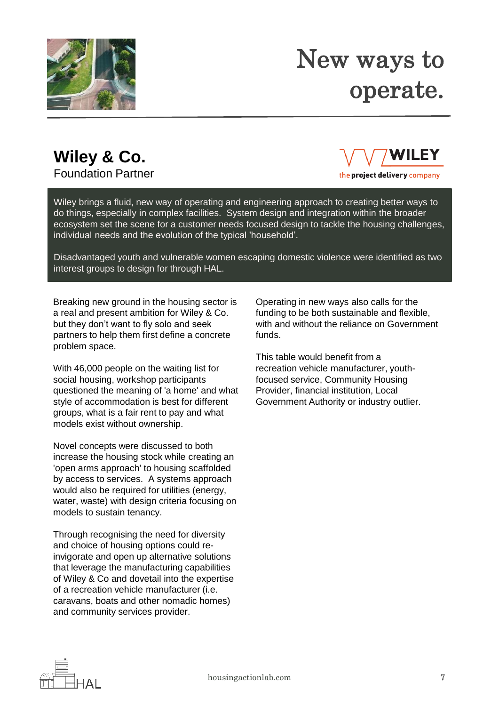

#### New ways to operate.

#### **Wiley & Co.**

Foundation Partner



the project delivery company

Wiley brings a fluid, new way of operating and engineering approach to creating better ways to do things, especially in complex facilities. System design and integration within the broader ecosystem set the scene for a customer needs focused design to tackle the housing challenges, individual needs and the evolution of the typical 'household'.

Disadvantaged youth and vulnerable women escaping domestic violence were identified as two interest groups to design for through HAL.

Breaking new ground in the housing sector is a real and present ambition for Wiley & Co. but they don't want to fly solo and seek partners to help them first define a concrete problem space.

With 46,000 people on the waiting list for social housing, workshop participants questioned the meaning of 'a home' and what style of accommodation is best for different groups, what is a fair rent to pay and what models exist without ownership.

Novel concepts were discussed to both increase the housing stock while creating an 'open arms approach' to housing scaffolded by access to services. A systems approach would also be required for utilities (energy, water, waste) with design criteria focusing on models to sustain tenancy.

Through recognising the need for diversity and choice of housing options could reinvigorate and open up alternative solutions that leverage the manufacturing capabilities of Wiley & Co and dovetail into the expertise of a recreation vehicle manufacturer (i.e. caravans, boats and other nomadic homes) and community services provider.

Operating in new ways also calls for the funding to be both sustainable and flexible, with and without the reliance on Government funds.

This table would benefit from a recreation vehicle manufacturer, youthfocused service, Community Housing Provider, financial institution, Local Government Authority or industry outlier.

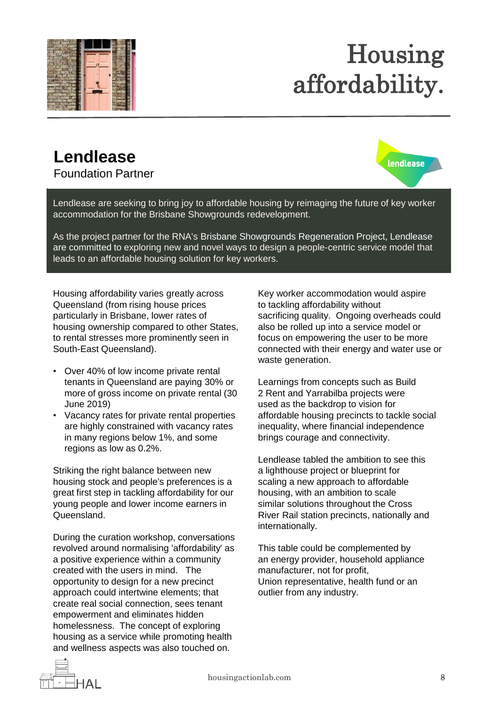

### Housing affordability.

#### **Lendlease**

Foundation Partner



Lendlease are seeking to bring joy to affordable housing by reimaging the future of key worker accommodation for the Brisbane Showgrounds redevelopment.

As the project partner for the RNA's Brisbane Showgrounds Regeneration Project, Lendlease are committed to exploring new and novel ways to design a people-centric service model that leads to an affordable housing solution for key workers.

Housing affordability varies greatly across Queensland (from rising house prices particularly in Brisbane, lower rates of housing ownership compared to other States, to rental stresses more prominently seen in South-East Queensland).

- Over 40% of low income private rental tenants in Queensland are paying 30% or more of gross income on private rental (30 June 2019)
- Vacancy rates for private rental properties are highly constrained with vacancy rates in many regions below 1%, and some regions as low as 0.2%.

Striking the right balance between new housing stock and people's preferences is a great first step in tackling affordability for our young people and lower income earners in Queensland.

During the curation workshop, conversations revolved around normalising 'affordability' as a positive experience within a community created with the users in mind. The opportunity to design for a new precinct approach could intertwine elements; that create real social connection, sees tenant empowerment and eliminates hidden homelessness. The concept of exploring housing as a service while promoting health and wellness aspects was also touched on.

Key worker accommodation would aspire to tackling affordability without sacrificing quality. Ongoing overheads could also be rolled up into a service model or focus on empowering the user to be more connected with their energy and water use or waste generation.

Learnings from concepts such as Build 2 Rent and Yarrabilba projects were used as the backdrop to vision for affordable housing precincts to tackle social inequality, where financial independence brings courage and connectivity.

Lendlease tabled the ambition to see this a lighthouse project or blueprint for scaling a new approach to affordable housing, with an ambition to scale similar solutions throughout the Cross River Rail station precincts, nationally and internationally.

This table could be complemented by an energy provider, household appliance manufacturer, not for profit, Union representative, health fund or an outlier from any industry.

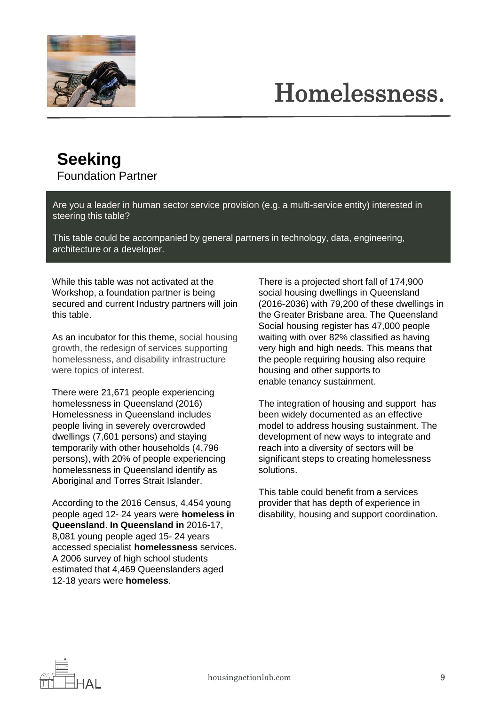

### Homelessness.

#### **Seeking** Foundation Partner

Are you a leader in human sector service provision (e.g. a multi-service entity) interested in steering this table?

This table could be accompanied by general partners in technology, data, engineering, architecture or a developer.

While this table was not activated at the Workshop, a foundation partner is being secured and current Industry partners will join this table.

As an incubator for this theme, social housing growth, the redesign of services supporting homelessness, and disability infrastructure were topics of interest.

There were 21,671 people experiencing homelessness in Queensland (2016) Homelessness in Queensland includes people living in severely overcrowded dwellings (7,601 persons) and staying temporarily with other households (4,796 persons), with 20% of people experiencing homelessness in Queensland identify as Aboriginal and Torres Strait Islander.

According to the 2016 Census, 4,454 young people aged 12- 24 years were **homeless in Queensland**. **In Queensland in** 2016-17, 8,081 young people aged 15- 24 years accessed specialist **homelessness** services. A 2006 survey of high school students estimated that 4,469 Queenslanders aged 12-18 years were **homeless**.

There is a projected short fall of 174,900 social housing dwellings in Queensland (2016-2036) with 79,200 of these dwellings in the Greater Brisbane area. The Queensland Social housing register has 47,000 people waiting with over 82% classified as having very high and high needs. This means that the people requiring housing also require housing and other supports to enable tenancy sustainment.

The integration of housing and support has been widely documented as an effective model to address housing sustainment. The development of new ways to integrate and reach into a diversity of sectors will be significant steps to creating homelessness solutions.

This table could benefit from a services provider that has depth of experience in disability, housing and support coordination.

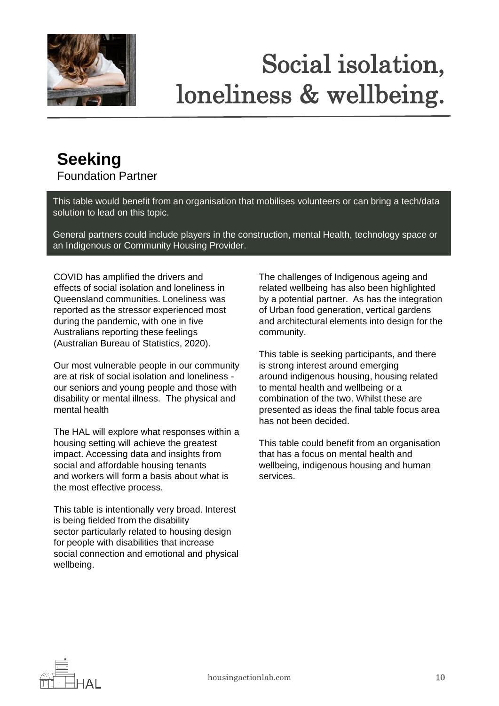

## Social isolation, loneliness & wellbeing.

#### **Seeking** Foundation Partner

This table would benefit from an organisation that mobilises volunteers or can bring a tech/data solution to lead on this topic.

General partners could include players in the construction, mental Health, technology space or an Indigenous or Community Housing Provider.

COVID has amplified the drivers and effects of social isolation and loneliness in Queensland communities. Loneliness was reported as the stressor experienced most during the pandemic, with one in five Australians reporting these feelings (Australian Bureau of Statistics, 2020).

Our most vulnerable people in our community are at risk of social isolation and loneliness our seniors and young people and those with disability or mental illness. The physical and mental health

The HAL will explore what responses within a housing setting will achieve the greatest impact. Accessing data and insights from social and affordable housing tenants and workers will form a basis about what is the most effective process.

This table is intentionally very broad. Interest is being fielded from the disability sector particularly related to housing design for people with disabilities that increase social connection and emotional and physical wellbeing.

The challenges of Indigenous ageing and related wellbeing has also been highlighted by a potential partner. As has the integration of Urban food generation, vertical gardens and architectural elements into design for the community.

This table is seeking participants, and there is strong interest around emerging around indigenous housing, housing related to mental health and wellbeing or a combination of the two. Whilst these are presented as ideas the final table focus area has not been decided.

This table could benefit from an organisation that has a focus on mental health and wellbeing, indigenous housing and human services.

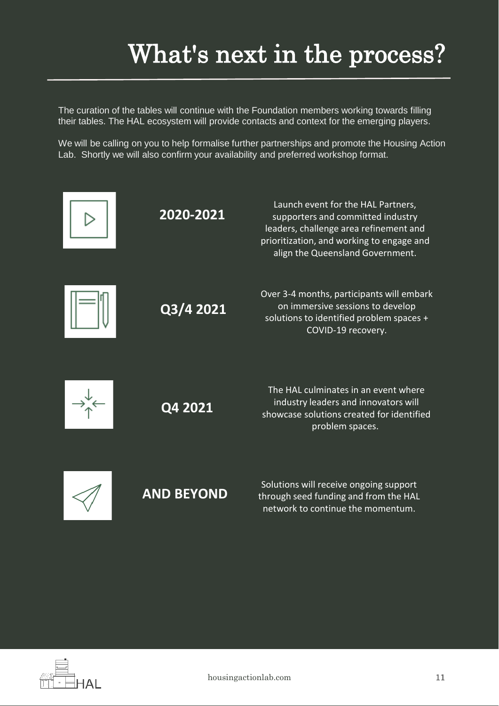#### What's next in the process?

The curation of the tables will continue with the Foundation members working towards filling their tables. The HAL ecosystem will provide contacts and context for the emerging players.

We will be calling on you to help formalise further partnerships and promote the Housing Action Lab. Shortly we will also confirm your availability and preferred workshop format.



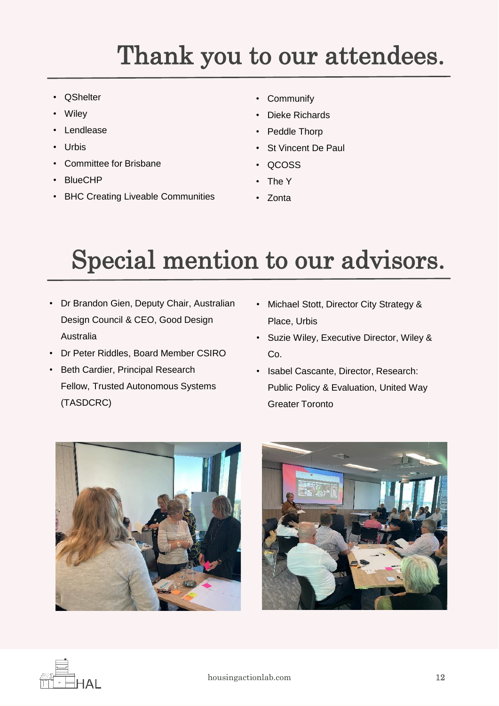#### Thank you to our attendees.

- **QShelter**
- **Wiley**
- **Lendlease**
- Urbis
- Committee for Brisbane
- BlueCHP
- BHC Creating Liveable Communities
- Communify
- Dieke Richards
- Peddle Thorp
- St Vincent De Paul
- QCOSS
- The Y
- Zonta

### Special mention to our advisors.

- Dr Brandon Gien, Deputy Chair, Australian Design Council & CEO, Good Design Australia
- Dr Peter Riddles, Board Member CSIRO
- Beth Cardier, Principal Research Fellow, Trusted Autonomous Systems (TASDCRC)
- Michael Stott, Director City Strategy & Place, Urbis
- Suzie Wiley, Executive Director, Wiley & Co.
- Isabel Cascante, Director, Research: Public Policy & Evaluation, United Way Greater Toronto





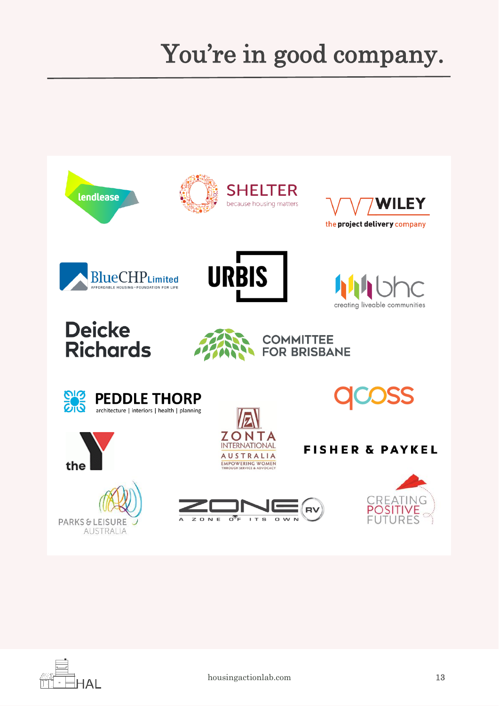### You're in good company.